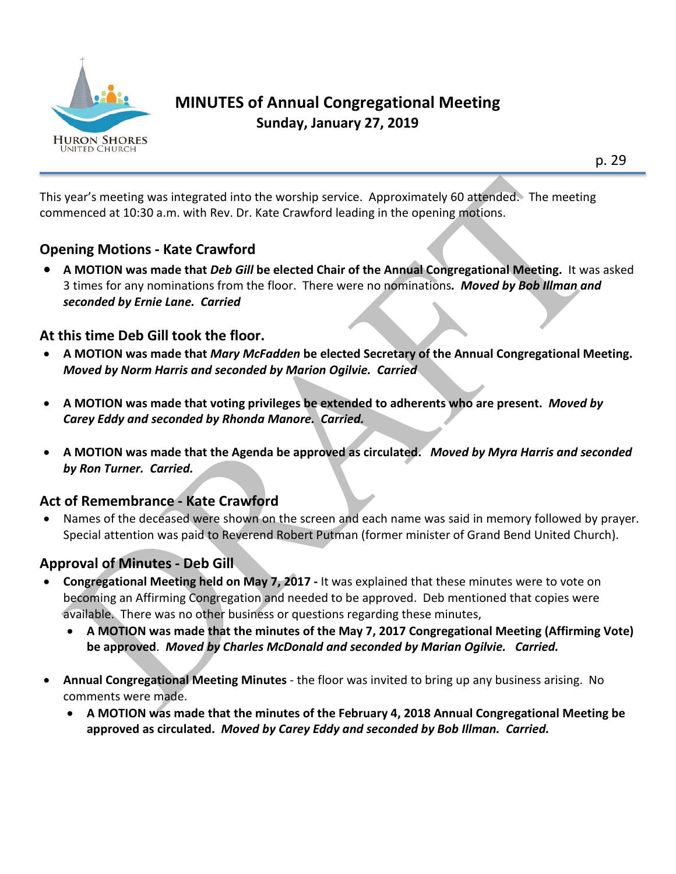

# **MINUTES of Annual Congregational Meeting Sunday, January 27, 2019**

This year's meeting was integrated into the worship service. Approximately 60 attended. The meeting commenced at 10:30 a.m. with Rev. Dr. Kate Crawford leading in the opening motions.

#### **Opening Motions - Kate Crawford**

• **A MOTION was made that** *Deb Gill* **be elected Chair of the Annual Congregational Meeting.** It was asked 3 times for any nominations from the floor. There were no nominations*. Moved by Bob Illman and seconded by Ernie Lane. Carried*

### **At this time Deb Gill took the floor.**

- **A MOTION was made that** *Mary McFadden* **be elected Secretary of the Annual Congregational Meeting.** *Moved by Norm Harris and seconded by Marion Ogilvie. Carried*
- **A MOTION was made that voting privileges be extended to adherents who are present.** *Moved by Carey Eddy and seconded by Rhonda Manore. Carried.*
- **A MOTION was made that the Agenda be approved as circulated.** *Moved by Myra Harris and seconded by Ron Turner. Carried.*

## **Act of Remembrance - Kate Crawford**

• Names of the deceased were shown on the screen and each name was said in memory followed by prayer. Special attention was paid to Reverend Robert Putman (former minister of Grand Bend United Church).

## **Approval of Minutes - Deb Gill**

- **Congregational Meeting held on May 7, 2017 -** It was explained that these minutes were to vote on becoming an Affirming Congregation and needed to be approved. Deb mentioned that copies were available. There was no other business or questions regarding these minutes,
	- **A MOTION was made that the minutes of the May 7, 2017 Congregational Meeting (Affirming Vote) be approved**. *Moved by Charles McDonald and seconded by Marian Ogilvie. Carried.*
- **Annual Congregational Meeting Minutes** the floor was invited to bring up any business arising. No comments were made.
	- **A MOTION was made that the minutes of the February 4, 2018 Annual Congregational Meeting be approved as circulated.** *Moved by Carey Eddy and seconded by Bob Illman. Carried.*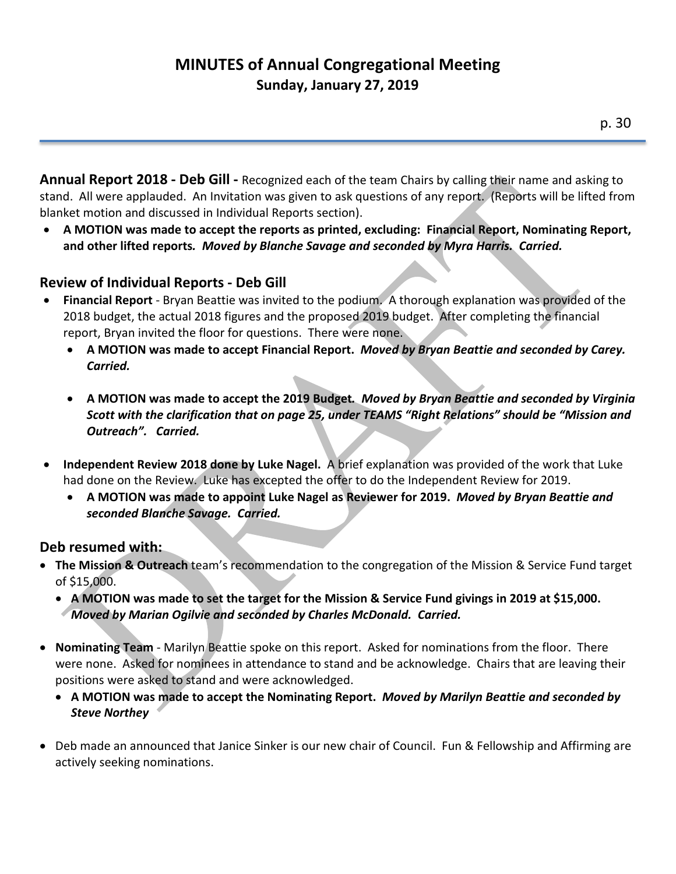# **MINUTES of Annual Congregational Meeting Sunday, January 27, 2019**

**Annual Report 2018 - Deb Gill -** Recognized each of the team Chairs by calling their name and asking to stand. All were applauded. An Invitation was given to ask questions of any report. (Reports will be lifted from blanket motion and discussed in Individual Reports section).

• **A MOTION was made to accept the reports as printed, excluding: Financial Report, Nominating Report, and other lifted reports***. Moved by Blanche Savage and seconded by Myra Harris. Carried.*

### **Review of Individual Reports - Deb Gill**

- **Financial Report** Bryan Beattie was invited to the podium. A thorough explanation was provided of the 2018 budget, the actual 2018 figures and the proposed 2019 budget. After completing the financial report, Bryan invited the floor for questions. There were none.
	- **A MOTION was made to accept Financial Report.** *Moved by Bryan Beattie and seconded by Carey. Carried.*
	- **A MOTION was made to accept the 2019 Budget***. Moved by Bryan Beattie and seconded by Virginia Scott with the clarification that on page 25, under TEAMS "Right Relations" should be "Mission and Outreach". Carried.*
- **Independent Review 2018 done by Luke Nagel.** A brief explanation was provided of the work that Luke had done on the Review. Luke has excepted the offer to do the Independent Review for 2019.
	- **A MOTION was made to appoint Luke Nagel as Reviewer for 2019.** *Moved by Bryan Beattie and seconded Blanche Savage. Carried.*

#### **Deb resumed with:**

- **The Mission & Outreach** team's recommendation to the congregation of the Mission & Service Fund target of \$15,000.
	- **A MOTION was made to set the target for the Mission & Service Fund givings in 2019 at \$15,000.**  *Moved by Marian Ogilvie and seconded by Charles McDonald. Carried.*
- **Nominating Team** Marilyn Beattie spoke on this report. Asked for nominations from the floor. There were none. Asked for nominees in attendance to stand and be acknowledge. Chairs that are leaving their positions were asked to stand and were acknowledged.
	- **A MOTION was made to accept the Nominating Report.** *Moved by Marilyn Beattie and seconded by Steve Northey*
- Deb made an announced that Janice Sinker is our new chair of Council. Fun & Fellowship and Affirming are actively seeking nominations.